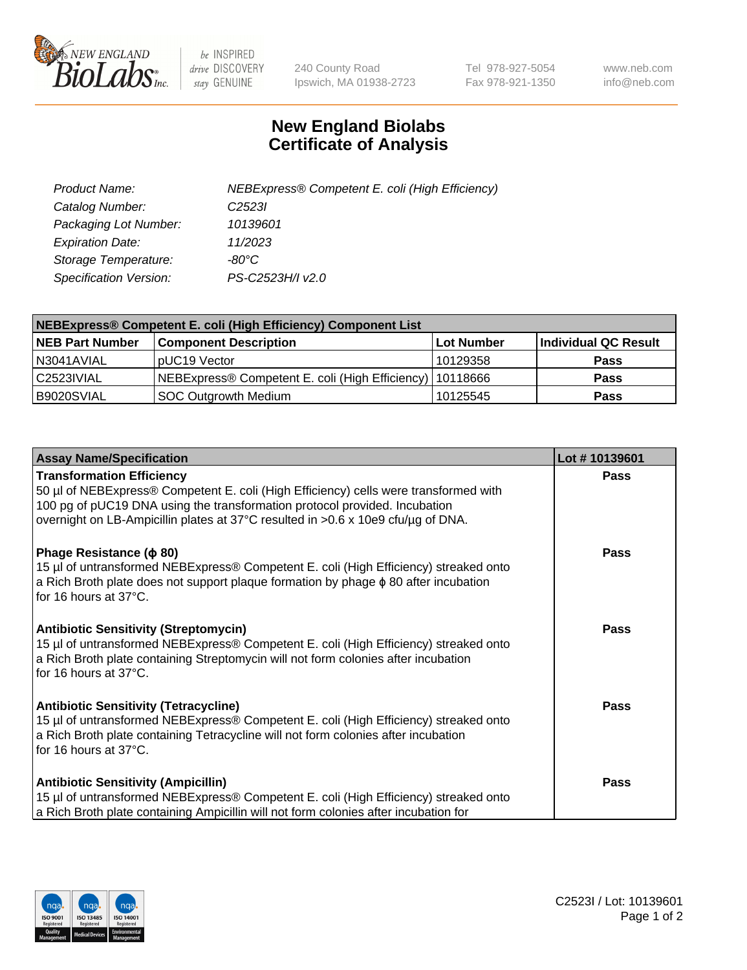

 $be$  INSPIRED drive DISCOVERY stay GENUINE

240 County Road Ipswich, MA 01938-2723 Tel 978-927-5054 Fax 978-921-1350 www.neb.com info@neb.com

## **New England Biolabs Certificate of Analysis**

| Product Name:           | NEBExpress® Competent E. coli (High Efficiency) |
|-------------------------|-------------------------------------------------|
| Catalog Number:         | C <sub>2523</sub>                               |
| Packaging Lot Number:   | 10139601                                        |
| <b>Expiration Date:</b> | 11/2023                                         |
| Storage Temperature:    | -80°C                                           |
| Specification Version:  | PS-C2523H/I v2.0                                |

| NEBExpress® Competent E. coli (High Efficiency) Component List |                                                            |              |                      |  |
|----------------------------------------------------------------|------------------------------------------------------------|--------------|----------------------|--|
| <b>NEB Part Number</b>                                         | <b>Component Description</b>                               | l Lot Number | Individual QC Result |  |
| N3041AVIAL                                                     | pUC19 Vector                                               | 10129358     | <b>Pass</b>          |  |
| C2523IVIAL                                                     | NEBExpress® Competent E. coli (High Efficiency)   10118666 |              | <b>Pass</b>          |  |
| B9020SVIAL                                                     | <b>SOC Outgrowth Medium</b>                                | 10125545     | <b>Pass</b>          |  |

| <b>Assay Name/Specification</b>                                                                                                                                                                                                                                                            | Lot #10139601 |
|--------------------------------------------------------------------------------------------------------------------------------------------------------------------------------------------------------------------------------------------------------------------------------------------|---------------|
| <b>Transformation Efficiency</b><br>50 µl of NEBExpress® Competent E. coli (High Efficiency) cells were transformed with<br>100 pg of pUC19 DNA using the transformation protocol provided. Incubation<br>overnight on LB-Ampicillin plates at 37°C resulted in >0.6 x 10e9 cfu/µg of DNA. | Pass          |
| Phage Resistance ( $\phi$ 80)<br>15 µl of untransformed NEBExpress® Competent E. coli (High Efficiency) streaked onto<br>a Rich Broth plate does not support plaque formation by phage $\phi$ 80 after incubation<br>for 16 hours at $37^{\circ}$ C.                                       | Pass          |
| <b>Antibiotic Sensitivity (Streptomycin)</b><br>15 µl of untransformed NEBExpress® Competent E. coli (High Efficiency) streaked onto<br>a Rich Broth plate containing Streptomycin will not form colonies after incubation<br>for 16 hours at $37^{\circ}$ C.                              | Pass          |
| <b>Antibiotic Sensitivity (Tetracycline)</b><br>15 µl of untransformed NEBExpress® Competent E. coli (High Efficiency) streaked onto<br>a Rich Broth plate containing Tetracycline will not form colonies after incubation<br>for 16 hours at 37°C.                                        | <b>Pass</b>   |
| <b>Antibiotic Sensitivity (Ampicillin)</b><br>15 µl of untransformed NEBExpress® Competent E. coli (High Efficiency) streaked onto<br>a Rich Broth plate containing Ampicillin will not form colonies after incubation for                                                                 | <b>Pass</b>   |